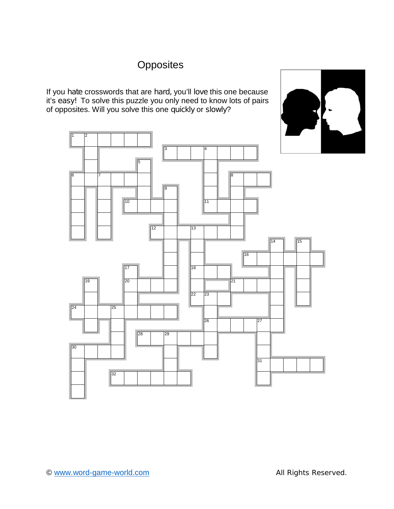# **Opposites**

If you *hate* crosswords that are *hard,* you'll *love* this one because it's *easy!* To solve this puzzle you only need to know lots of pairs of opposites. Will you solve this one *quickly* or*slowly*?

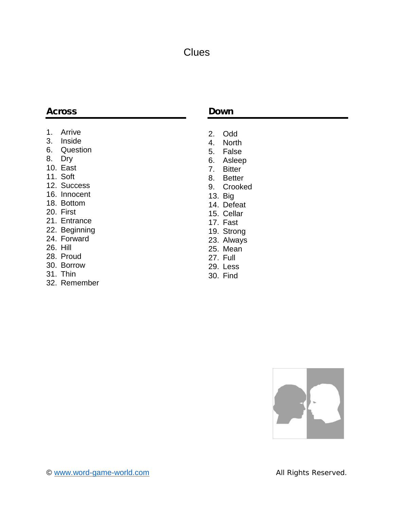## **Clues**

### **Across**

- 1. Arrive
- 3. Inside
- 6. Question
- 8. Dry
- 10. East
- 11. Soft
- 12. Success
- 16. Innocent
- 18. Bottom
- 20. First
- 21. Entrance
- 22. Beginning
- 24. Forward
- 26. Hill
- 28. Proud
- 30. Borrow
- 31. Thin
- 32. Remember

#### **Down**

- 2. Odd
- 4. North
- 5. False
- 6. Asleep
- 7. Bitter
- 8. Better
- 9. Crooked
- 13. Big
- 14. Defeat
- 15. Cellar
- 17. Fast
- 19. Strong
- 23. Always
- 25. Mean
- 27. Full
- 29. Less
- 30. Find